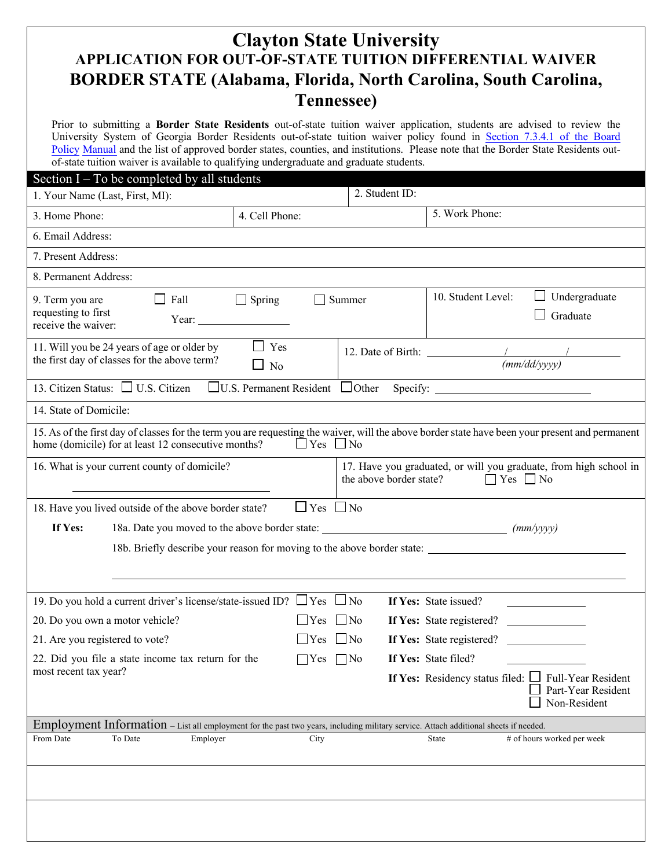## **Clayton State University APPLICATION FOR OUT-OF-STATE TUITION DIFFERENTIAL WAIVER BORDER STATE (Alabama, Florida, North Carolina, South Carolina, Tennessee)**

Prior to submitting a **Border State Residents** out-of-state tuition waiver application, students are advised to review the University System of Georgia Border Residents out-of-state tuition waiver policy found in Section 7.3.4.1 of the Board Policy Manual and the [list of approved border states, counties, and institutions.](https://www.usg.edu/policymanual/section7/policy/7.3_tuition_and_fees/#n7341) Please note that the Border State Residents outof-state tuition waiver is available to qualifying undergraduate and graduate students.

| Section $I - To$ be completed by all students                                                                                                                                                          |                        |                         |                                                                                                                                                                                                                                                               |                                    |  |
|--------------------------------------------------------------------------------------------------------------------------------------------------------------------------------------------------------|------------------------|-------------------------|---------------------------------------------------------------------------------------------------------------------------------------------------------------------------------------------------------------------------------------------------------------|------------------------------------|--|
| 1. Your Name (Last, First, MI):                                                                                                                                                                        |                        | 2. Student ID:          |                                                                                                                                                                                                                                                               |                                    |  |
| 3. Home Phone:                                                                                                                                                                                         | 4. Cell Phone:         |                         | 5. Work Phone:                                                                                                                                                                                                                                                |                                    |  |
| 6. Email Address:                                                                                                                                                                                      |                        |                         |                                                                                                                                                                                                                                                               |                                    |  |
| 7. Present Address:                                                                                                                                                                                    |                        |                         |                                                                                                                                                                                                                                                               |                                    |  |
| 8. Permanent Address:                                                                                                                                                                                  |                        |                         |                                                                                                                                                                                                                                                               |                                    |  |
| $\Box$ Fall<br>9. Term you are<br>requesting to first<br>Year: $\frac{1}{\sqrt{1-\frac{1}{2}} \cdot \frac{1}{2}}$<br>receive the waiver:                                                               | $\Box$ Spring          | $\Box$ Summer           | 10. Student Level:<br>Graduate                                                                                                                                                                                                                                | Undergraduate                      |  |
| 11. Will you be 24 years of age or older by<br>the first day of classes for the above term?                                                                                                            | $\Box$ Yes<br>No       |                         | 12. Date of Birth: $\frac{1}{2}$<br>(mm/dd/yyyy)                                                                                                                                                                                                              |                                    |  |
| 13. Citizen Status: $\Box$ U.S. Citizen                                                                                                                                                                |                        |                         |                                                                                                                                                                                                                                                               |                                    |  |
| 14. State of Domicile:                                                                                                                                                                                 |                        |                         |                                                                                                                                                                                                                                                               |                                    |  |
| 15. As of the first day of classes for the term you are requesting the waiver, will the above border state have been your present and permanent<br>home (domicile) for at least 12 consecutive months? | $\Box$ Yes $\Box$ No   |                         |                                                                                                                                                                                                                                                               |                                    |  |
| 16. What is your current county of domicile?                                                                                                                                                           |                        | the above border state? | 17. Have you graduated, or will you graduate, from high school in<br>$\Box$ Yes $\Box$ No                                                                                                                                                                     |                                    |  |
| 18. Have you lived outside of the above border state?                                                                                                                                                  | $\Box$ Yes $\Box$ No   |                         |                                                                                                                                                                                                                                                               |                                    |  |
| If Yes:                                                                                                                                                                                                |                        |                         |                                                                                                                                                                                                                                                               |                                    |  |
|                                                                                                                                                                                                        |                        |                         |                                                                                                                                                                                                                                                               |                                    |  |
| 19. Do you hold a current driver's license/state-issued ID? $\Box$ Yes $\Box$ No                                                                                                                       |                        |                         | If Yes: State issued?<br><u> 1980 - Jan Stein Stein Stein Stein Stein Stein Stein Stein Stein Stein Stein Stein Stein Stein Stein Stein Stein Stein Stein Stein Stein Stein Stein Stein Stein Stein Stein Stein Stein Stein Stein Stein Stein Stein Stein</u> |                                    |  |
| 20. Do you own a motor vehicle?<br>Yes                                                                                                                                                                 |                        | $\Box$ No               | If Yes: State registered?                                                                                                                                                                                                                                     |                                    |  |
| 21. Are you registered to vote?                                                                                                                                                                        | $\vert$ Yes $\vert$ No |                         | If Yes: State registered?                                                                                                                                                                                                                                     |                                    |  |
| 22. Did you file a state income tax return for the                                                                                                                                                     | $\Box$ No              | If Yes: State filed?    |                                                                                                                                                                                                                                                               |                                    |  |
| most recent tax year?                                                                                                                                                                                  |                        |                         | If Yes: Residency status filed: $\Box$ Full-Year Resident                                                                                                                                                                                                     | Part-Year Resident<br>Non-Resident |  |
| Employment Information - List all employment for the past two years, including military service. Attach additional sheets if needed.                                                                   |                        |                         |                                                                                                                                                                                                                                                               |                                    |  |
| From Date<br>To Date<br>Employer                                                                                                                                                                       | City                   |                         | # of hours worked per week<br>State                                                                                                                                                                                                                           |                                    |  |
|                                                                                                                                                                                                        |                        |                         |                                                                                                                                                                                                                                                               |                                    |  |
|                                                                                                                                                                                                        |                        |                         |                                                                                                                                                                                                                                                               |                                    |  |
|                                                                                                                                                                                                        |                        |                         |                                                                                                                                                                                                                                                               |                                    |  |